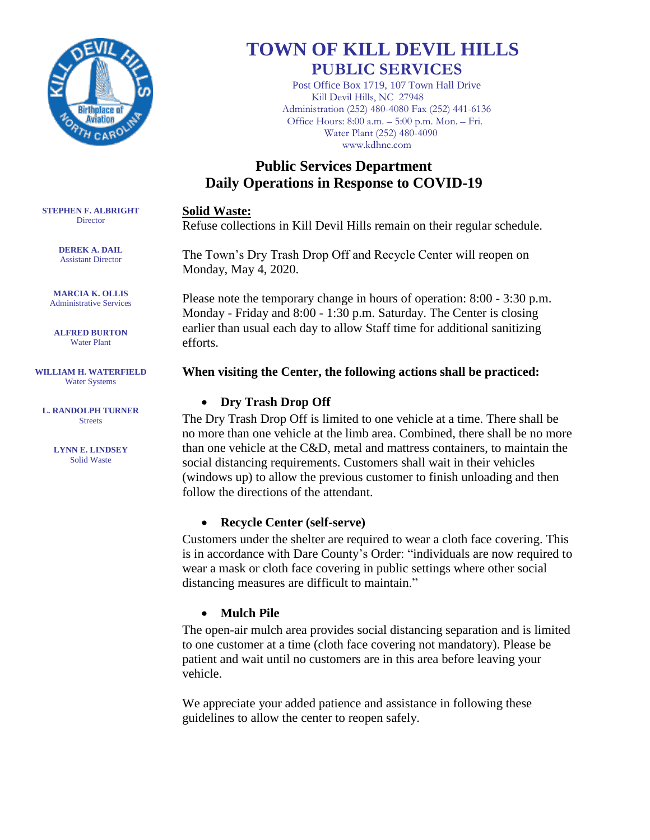

# **TOWN OF KILL DEVIL HILLS PUBLIC SERVICES**

Post Office Box 1719, 107 Town Hall Drive Kill Devil Hills, NC 27948 Administration (252) 480-4080 Fax (252) 441-6136 Office Hours: 8:00 a.m. – 5:00 p.m. Mon. – Fri. Water Plant (252) 480-4090 www.kdhnc.com

## **Public Services Department Daily Operations in Response to COVID-19**

#### **Solid Waste:**

Refuse collections in Kill Devil Hills remain on their regular schedule.

The Town's Dry Trash Drop Off and Recycle Center will reopen on Monday, May 4, 2020.

Please note the temporary change in hours of operation: 8:00 - 3:30 p.m. Monday - Friday and 8:00 - 1:30 p.m. Saturday. The Center is closing earlier than usual each day to allow Staff time for additional sanitizing efforts.

#### **When visiting the Center, the following actions shall be practiced:**

## **Dry Trash Drop Off**

The Dry Trash Drop Off is limited to one vehicle at a time. There shall be no more than one vehicle at the limb area. Combined, there shall be no more than one vehicle at the C&D, metal and mattress containers, to maintain the social distancing requirements. Customers shall wait in their vehicles (windows up) to allow the previous customer to finish unloading and then follow the directions of the attendant.

## **Recycle Center (self-serve)**

Customers under the shelter are required to wear a cloth face covering. This is in accordance with Dare County's Order: "individuals are now required to wear a mask or cloth face covering in public settings where other social distancing measures are difficult to maintain."

## **Mulch Pile**

The open-air mulch area provides social distancing separation and is limited to one customer at a time (cloth face covering not mandatory). Please be patient and wait until no customers are in this area before leaving your vehicle.

We appreciate your added patience and assistance in following these guidelines to allow the center to reopen safely.

**STEPHEN F. ALBRIGHT Director** 

> **DEREK A. DAIL** Assistant Director

**MARCIA K. OLLIS** Administrative Services

**ALFRED BURTON** Water Plant

**WILLIAM H. WATERFIELD** Water Systems

**L. RANDOLPH TURNER Streets** 

> **LYNN E. LINDSEY** Solid Waste